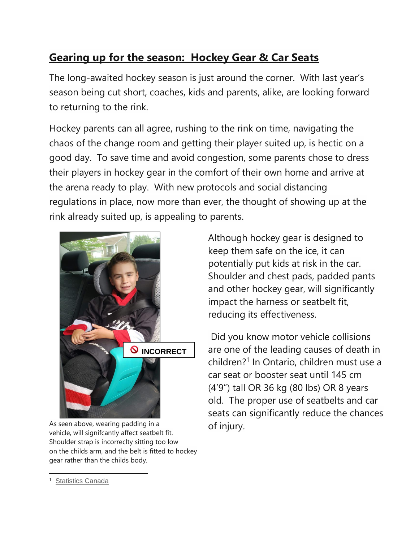## **Gearing up for the season: Hockey Gear & Car Seats**

The long-awaited hockey season is just around the corner. With last year's season being cut short, coaches, kids and parents, alike, are looking forward to returning to the rink.

Hockey parents can all agree, rushing to the rink on time, navigating the chaos of the change room and getting their player suited up, is hectic on a good day. To save time and avoid congestion, some parents chose to dress their players in hockey gear in the comfort of their own home and arrive at the arena ready to play. With new protocols and social distancing regulations in place, now more than ever, the thought of showing up at the rink already suited up, is appealing to parents.



As seen above, wearing padding in a vehicle, will signifcantly affect seatbelt fit. Shoulder strap is incorreclty sitting too low on the childs arm, and the belt is fitted to hockey gear rather than the childs body.

Although hockey gear is designed to keep them safe on the ice, it can potentially put kids at risk in the car. Shoulder and chest pads, padded pants and other hockey gear, will significantly impact the harness or seatbelt fit, reducing its effectiveness.

Did you know motor vehicle collisions are one of the leading causes of death in children? 1 In Ontario, children must use a car seat or booster seat until 145 cm (4'9") tall OR 36 kg (80 lbs) OR 8 years old. The proper use of seatbelts and car seats can significantly reduce the chances of injury.

 $\overline{a}$ 1 Statistics Canada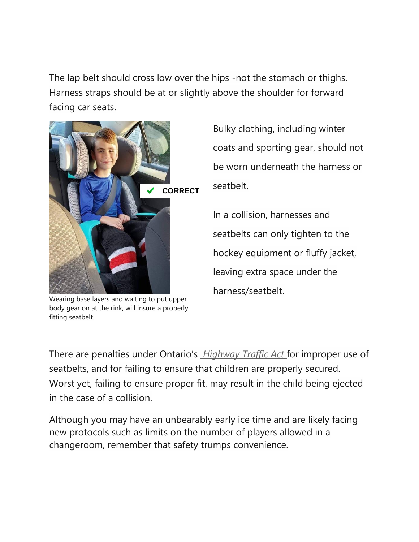The lap belt should cross low over the hips -not the stomach or thighs. Harness straps should be at or slightly above the shoulder for forward facing car seats.



Wearing base layers and waiting to put upper body gear on at the rink, will insure a properly fitting seatbelt.

Bulky clothing, including winter coats and sporting gear, should not be worn underneath the harness or seatbelt.

In a collision, harnesses and seatbelts can only tighten to the hockey equipment or fluffy jacket, leaving extra space under the harness/seatbelt.

There are penalties under Ontario's *Highway Traffic Act* for improper use of seatbelts, and for failing to ensure that children are properly secured. Worst yet, failing to ensure proper fit, may result in the child being ejected in the case of a collision.

Although you may have an unbearably early ice time and are likely facing new protocols such as limits on the number of players allowed in a changeroom, remember that safety trumps convenience.